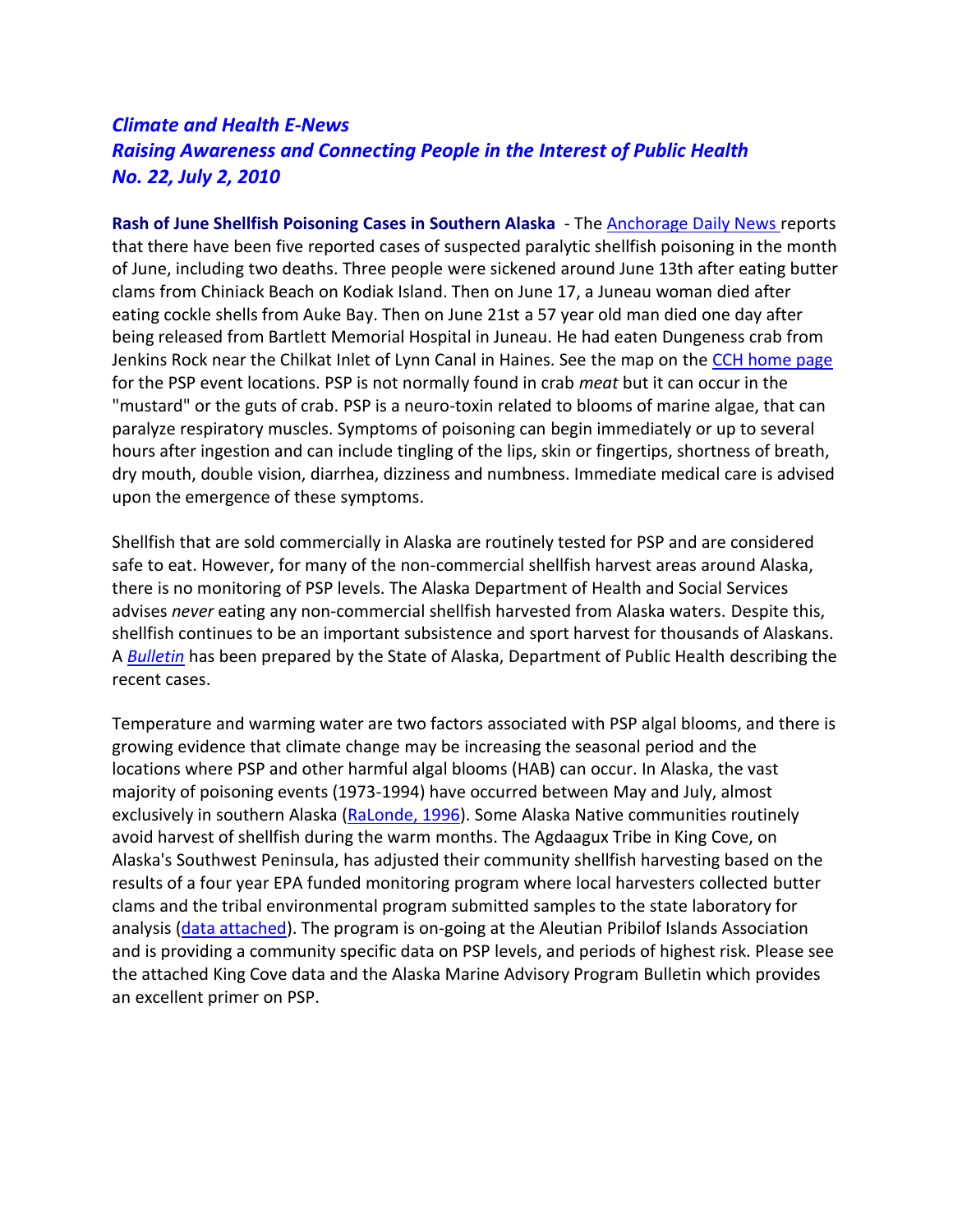## *Climate and Health E-News Raising Awareness and Connecting People in the Interest of Public Health No. 22, July 2, 2010*

**Rash of June Shellfish Poisoning Cases in Southern Alaska** - The [Anchorage Daily News r](http://www.adn.com/2010/06/21/1334358/shellfish-poison-fifth-person.html)eports that there have been five reported cases of suspected paralytic shellfish poisoning in the month of June, including two deaths. Three people were sickened around June 13th after eating butter clams from Chiniack Beach on Kodiak Island. Then on June 17, a Juneau woman died after eating cockle shells from Auke Bay. Then on June 21st a 57 year old man died one day after being released from Bartlett Memorial Hospital in Juneau. He had eaten Dungeness crab from Jenkins Rock near the Chilkat Inlet of Lynn Canal in Haines. See the map on the [CCH home page](https://anthc.org/what-we-do/community-environment-and-health/center-for-climate-and-health/) for the PSP event locations. PSP is not normally found in crab *meat* but it can occur in the "mustard" or the guts of crab. PSP is a neuro-toxin related to blooms of marine algae, that can paralyze respiratory muscles. Symptoms of poisoning can begin immediately or up to several hours after ingestion and can include tingling of the lips, skin or fingertips, shortness of breath, dry mouth, double vision, diarrhea, dizziness and numbness. Immediate medical care is advised upon the emergence of these symptoms.

Shellfish that are sold commercially in Alaska are routinely tested for PSP and are considered safe to eat. However, for many of the non-commercial shellfish harvest areas around Alaska, there is no monitoring of PSP levels. The Alaska Department of Health and Social Services advises *never* eating any non-commercial shellfish harvested from Alaska waters. Despite this, shellfish continues to be an important subsistence and sport harvest for thousands of Alaskans. A *[Bulletin](http://www.epi.alaska.gov/bulletins/docs/b2010_17.pdf)* has been prepared by the State of Alaska, Department of Public Health describing the recent cases.

Temperature and warming water are two factors associated with PSP algal blooms, and there is growing evidence that climate change may be increasing the seasonal period and the locations where PSP and other harmful algal blooms (HAB) can occur. In Alaska, the vast majority of poisoning events (1973-1994) have occurred between May and July, almost exclusively in southern Alaska [\(RaLonde, 1996\)](https://consortiumlibrary.org/aml/arctichealth/docs/ClimateHealthEnews/PSP.pdf). Some Alaska Native communities routinely avoid harvest of shellfish during the warm months. The Agdaagux Tribe in King Cove, on Alaska's Southwest Peninsula, has adjusted their community shellfish harvesting based on the results of a four year EPA funded monitoring program where local harvesters collected butter clams and the tribal environmental program submitted samples to the state laboratory for analysis [\(data attached\)](https://consortiumlibrary.org/aml/arctichealth/docs/ClimateHealthEnews/Results_from_PSP_Monitoring_Program_in_King_Cove.pdf). The program is on-going at the Aleutian Pribilof Islands Association and is providing a community specific data on PSP levels, and periods of highest risk. Please see the attached King Cove data and the Alaska Marine Advisory Program Bulletin which provides an excellent primer on PSP.